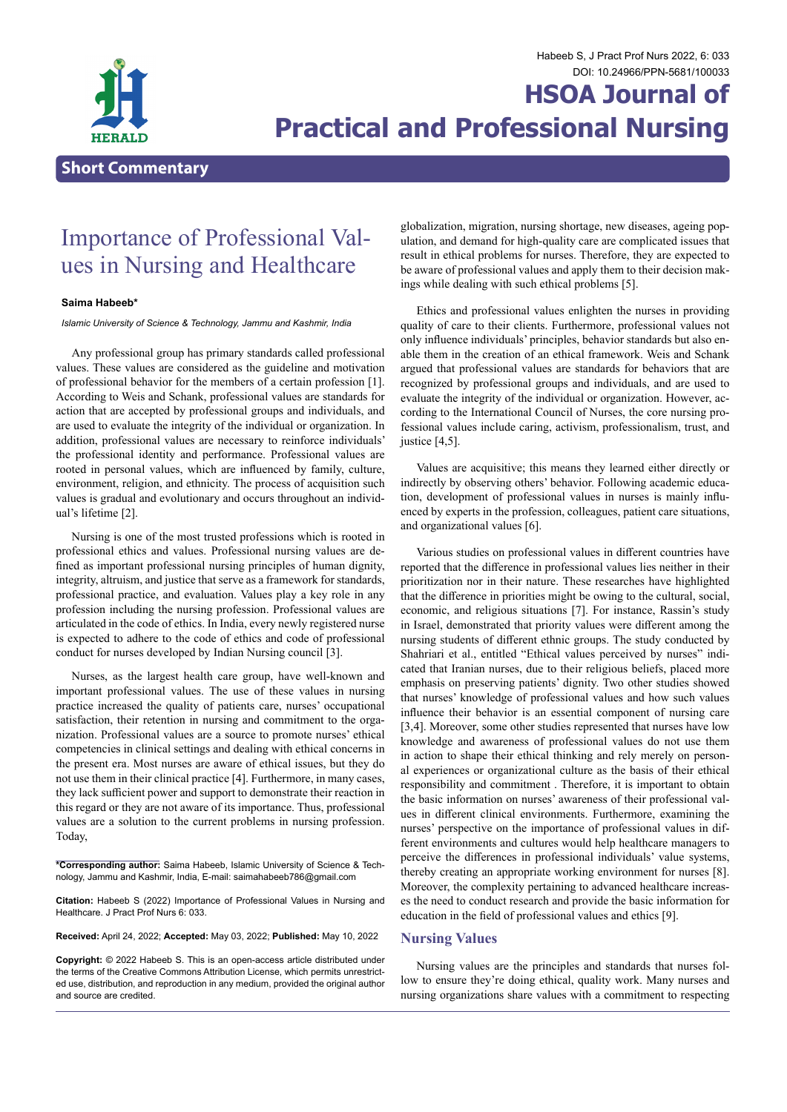

# Habeeb S, J Pract Prof Nurs 2022, 6: 033 DOI: [10.24966/PPN-5681/100033](https://dx.doi.org/10.24966/PPN-5681/100033) **HSOA Journal of**

# **Practical and Professional Nursing**

# Importance of Professional Val- ues in Nursing and Healthcare

#### **Saima Habeeb\***

*Islamic University of Science & Technology, Jammu and Kashmir, India*

Any professional group has primary standards called professional values. These values are considered as the guideline and motivation of professional behavior for the members of a certain profession [1]. According to Weis and Schank, professional values are standards for action that are accepted by professional groups and individuals, and are used to evaluate the integrity of the individual or organization. In addition, professional values are necessary to reinforce individuals' the professional identity and performance. Professional values are rooted in personal values, which are influenced by family, culture, environment, religion, and ethnicity. The process of acquisition such values is gradual and evolutionary and occurs throughout an individual's lifetime [2].

Nursing is one of the most trusted professions which is rooted in professional ethics and values. Professional nursing values are defined as important professional nursing principles of human dignity, integrity, altruism, and justice that serve as a framework for standards, professional practice, and evaluation. Values play a key role in any profession including the nursing profession. Professional values are articulated in the code of ethics. In India, every newly registered nurse is expected to adhere to the code of ethics and code of professional conduct for nurses developed by Indian Nursing council [3].

Nurses, as the largest health care group, have well-known and important professional values. The use of these values in nursing practice increased the quality of patients care, nurses' occupational satisfaction, their retention in nursing and commitment to the organization. Professional values are a source to promote nurses' ethical competencies in clinical settings and dealing with ethical concerns in the present era. Most nurses are aware of ethical issues, but they do not use them in their clinical practice [4]. Furthermore, in many cases, they lack sufficient power and support to demonstrate their reaction in this regard or they are not aware of its importance. Thus, professional values are a solution to the current problems in nursing profession. Today,

**\*Corresponding author:** Saima Habeeb, Islamic University of Science & Technology, Jammu and Kashmir, India, E-mail: saimahabeeb786@gmail.com

**Citation:** Habeeb S (2022) Importance of Professional Values in Nursing and Healthcare. J Pract Prof Nurs 6: 033.

**Received:** April 24, 2022; **Accepted:** May 03, 2022; **Published:** May 10, 2022

**Copyright:** © 2022 Habeeb S. This is an open-access article distributed under the terms of the Creative Commons Attribution License, which permits unrestricted use, distribution, and reproduction in any medium, provided the original author and source are credited.

globalization, migration, nursing shortage, new diseases, ageing population, and demand for high-quality care are complicated issues that result in ethical problems for nurses. Therefore, they are expected to be aware of professional values and apply them to their decision makings while dealing with such ethical problems [5].

Ethics and professional values enlighten the nurses in providing quality of care to their clients. Furthermore, professional values not only influence individuals' principles, behavior standards but also enable them in the creation of an ethical framework. Weis and Schank argued that professional values are standards for behaviors that are recognized by professional groups and individuals, and are used to evaluate the integrity of the individual or organization. However, according to the International Council of Nurses, the core nursing professional values include caring, activism, professionalism, trust, and justice [4,5].

Values are acquisitive; this means they learned either directly or indirectly by observing others' behavior. Following academic education, development of professional values in nurses is mainly influenced by experts in the profession, colleagues, patient care situations, and organizational values [6].

Various studies on professional values in different countries have reported that the difference in professional values lies neither in their prioritization nor in their nature. These researches have highlighted that the difference in priorities might be owing to the cultural, social, economic, and religious situations [7]. For instance, Rassin's study in Israel, demonstrated that priority values were different among the nursing students of different ethnic groups. The study conducted by Shahriari et al., entitled "Ethical values perceived by nurses" indicated that Iranian nurses, due to their religious beliefs, placed more emphasis on preserving patients' dignity. Two other studies showed that nurses' knowledge of professional values and how such values influence their behavior is an essential component of nursing care [3,4]. Moreover, some other studies represented that nurses have low knowledge and awareness of professional values do not use them in action to shape their ethical thinking and rely merely on personal experiences or organizational culture as the basis of their ethical responsibility and commitment . Therefore, it is important to obtain the basic information on nurses' awareness of their professional values in different clinical environments. Furthermore, examining the nurses' perspective on the importance of professional values in different environments and cultures would help healthcare managers to perceive the differences in professional individuals' value systems, thereby creating an appropriate working environment for nurses [8]. Moreover, the complexity pertaining to advanced healthcare increases the need to conduct research and provide the basic information for education in the field of professional values and ethics [9].

# **Nursing Values**

Nursing values are the principles and standards that nurses follow to ensure they're doing ethical, quality work. Many nurses and nursing organizations share values with a commitment to respecting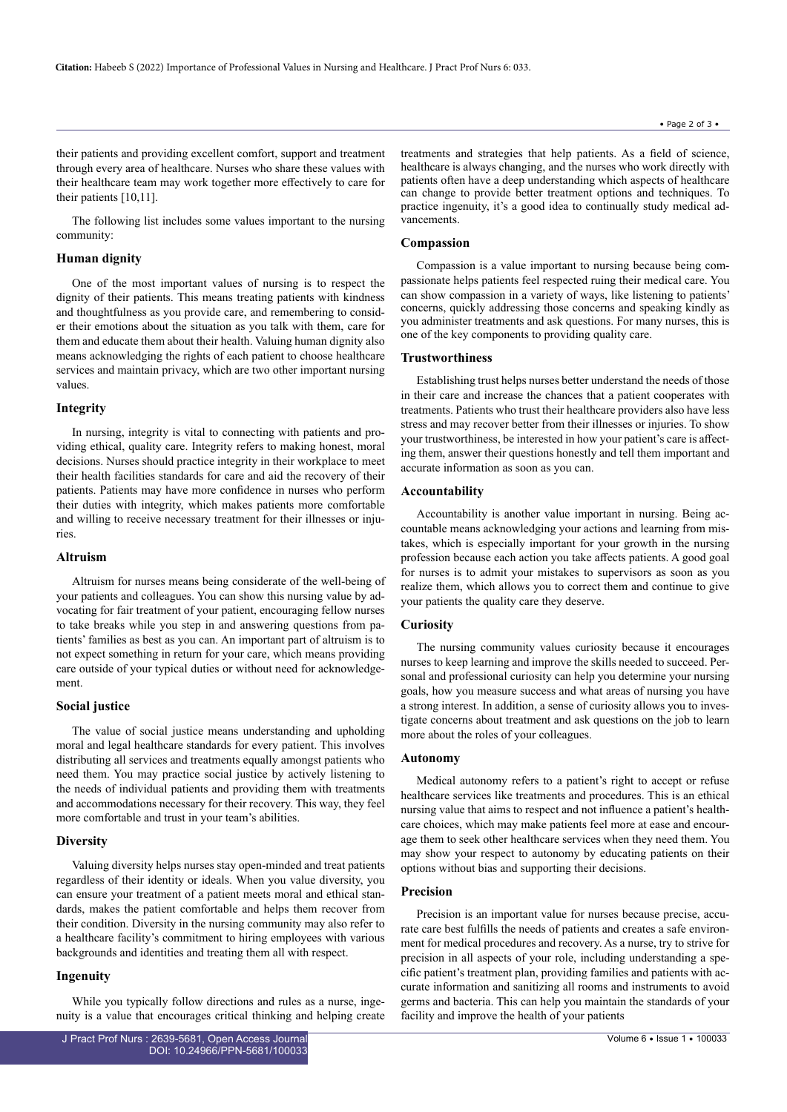their patients and providing excellent comfort, support and treatment through every area of healthcare. Nurses who share these values with their healthcare team may work together more effectively to care for their patients [10,11].

The following list includes some values important to the nursing community:

#### **Human dignity**

One of the most important values of nursing is to respect the dignity of their patients. This means treating patients with kindness and thoughtfulness as you provide care, and remembering to consider their emotions about the situation as you talk with them, care for them and educate them about their health. Valuing human dignity also means acknowledging the rights of each patient to choose healthcare services and maintain privacy, which are two other important nursing values.

#### **Integrity**

In nursing, integrity is vital to connecting with patients and providing ethical, quality care. Integrity refers to making honest, moral decisions. Nurses should practice integrity in their workplace to meet their health facilities standards for care and aid the recovery of their patients. Patients may have more confidence in nurses who perform their duties with integrity, which makes patients more comfortable and willing to receive necessary treatment for their illnesses or injuries.

#### **Altruism**

Altruism for nurses means being considerate of the well-being of your patients and colleagues. You can show this nursing value by advocating for fair treatment of your patient, encouraging fellow nurses to take breaks while you step in and answering questions from patients' families as best as you can. An important part of altruism is to not expect something in return for your care, which means providing care outside of your typical duties or without need for acknowledgement.

#### **Social justice**

The value of social justice means understanding and upholding moral and legal healthcare standards for every patient. This involves distributing all services and treatments equally amongst patients who need them. You may practice social justice by actively listening to the needs of individual patients and providing them with treatments and accommodations necessary for their recovery. This way, they feel more comfortable and trust in your team's abilities.

#### **Diversity**

Valuing diversity helps nurses stay open-minded and treat patients regardless of their identity or ideals. When you value diversity, you can ensure your treatment of a patient meets moral and ethical standards, makes the patient comfortable and helps them recover from their condition. Diversity in the nursing community may also refer to a healthcare facility's commitment to hiring employees with various backgrounds and identities and treating them all with respect.

#### **Ingenuity**

While you typically follow directions and rules as a nurse, ingenuity is a value that encourages critical thinking and helping create treatments and strategies that help patients. As a field of science, healthcare is always changing, and the nurses who work directly with patients often have a deep understanding which aspects of healthcare can change to provide better treatment options and techniques. To practice ingenuity, it's a good idea to continually study medical advancements.

#### **Compassion**

Compassion is a value important to nursing because being compassionate helps patients feel respected ruing their medical care. You can show compassion in a variety of ways, like listening to patients' concerns, quickly addressing those concerns and speaking kindly as you administer treatments and ask questions. For many nurses, this is one of the key components to providing quality care.

#### **Trustworthiness**

Establishing trust helps nurses better understand the needs of those in their care and increase the chances that a patient cooperates with treatments. Patients who trust their healthcare providers also have less stress and may recover better from their illnesses or injuries. To show your trustworthiness, be interested in how your patient's care is affecting them, answer their questions honestly and tell them important and accurate information as soon as you can.

#### **Accountability**

Accountability is another value important in nursing. Being accountable means acknowledging your actions and learning from mistakes, which is especially important for your growth in the nursing profession because each action you take affects patients. A good goal for nurses is to admit your mistakes to supervisors as soon as you realize them, which allows you to correct them and continue to give your patients the quality care they deserve.

#### **Curiosity**

The nursing community values curiosity because it encourages nurses to keep learning and improve the skills needed to succeed. Personal and professional curiosity can help you determine your nursing goals, how you measure success and what areas of nursing you have a strong interest. In addition, a sense of curiosity allows you to investigate concerns about treatment and ask questions on the job to learn more about the roles of your colleagues.

#### **Autonomy**

Medical autonomy refers to a patient's right to accept or refuse healthcare services like treatments and procedures. This is an ethical nursing value that aims to respect and not influence a patient's healthcare choices, which may make patients feel more at ease and encourage them to seek other healthcare services when they need them. You may show your respect to autonomy by educating patients on their options without bias and supporting their decisions.

#### **Precision**

Precision is an important value for nurses because precise, accurate care best fulfills the needs of patients and creates a safe environment for medical procedures and recovery. As a nurse, try to strive for precision in all aspects of your role, including understanding a specific patient's treatment plan, providing families and patients with accurate information and sanitizing all rooms and instruments to avoid germs and bacteria. This can help you maintain the standards of your facility and improve the health of your patients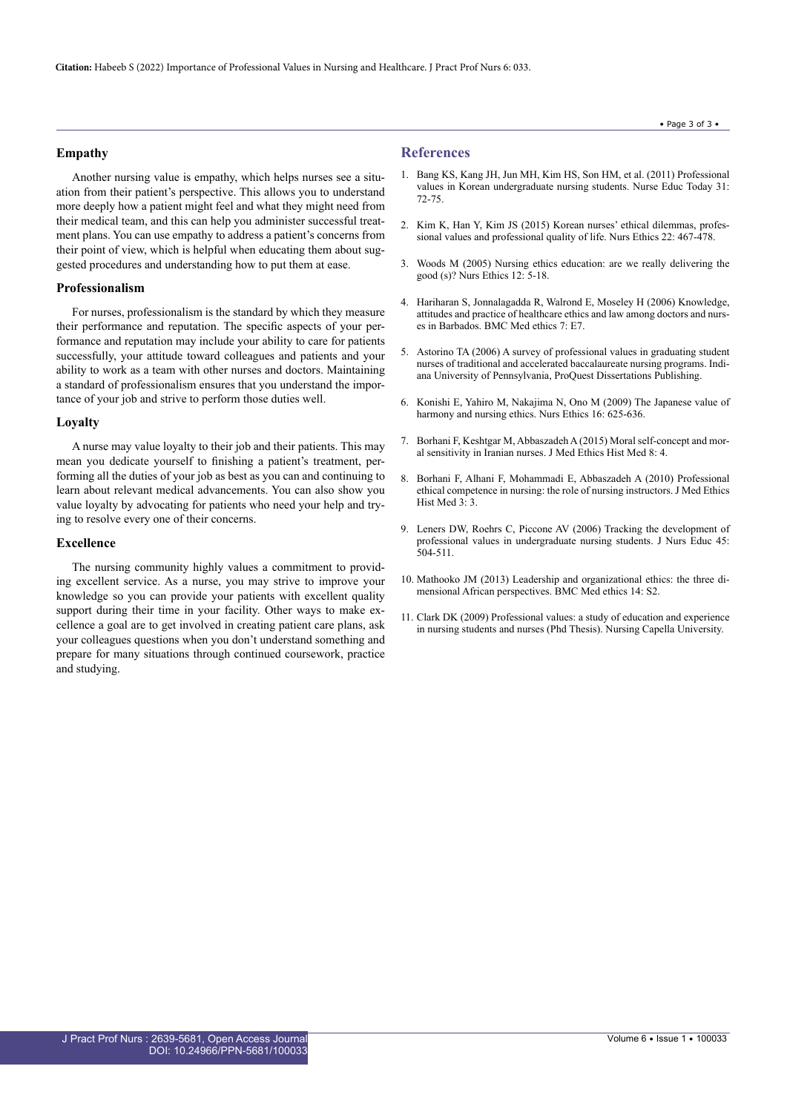#### **Empathy**

Another nursing value is empathy, which helps nurses see a situation from their patient's perspective. This allows you to understand more deeply how a patient might feel and what they might need from their medical team, and this can help you administer successful treatment plans. You can use empathy to address a patient's concerns from their point of view, which is helpful when educating them about suggested procedures and understanding how to put them at ease.

#### **Professionalism**

For nurses, professionalism is the standard by which they measure their performance and reputation. The specific aspects of your performance and reputation may include your ability to care for patients successfully, your attitude toward colleagues and patients and your ability to work as a team with other nurses and doctors. Maintaining a standard of professionalism ensures that you understand the importance of your job and strive to perform those duties well.

# **Loyalty**

A nurse may value loyalty to their job and their patients. This may mean you dedicate yourself to finishing a patient's treatment, performing all the duties of your job as best as you can and continuing to learn about relevant medical advancements. You can also show you value loyalty by advocating for patients who need your help and trying to resolve every one of their concerns.

#### **Excellence**

The nursing community highly values a commitment to providing excellent service. As a nurse, you may strive to improve your knowledge so you can provide your patients with excellent quality support during their time in your facility. Other ways to make excellence a goal are to get involved in creating patient care plans, ask your colleagues questions when you don't understand something and prepare for many situations through continued coursework, practice and studying.

# **References**

- 1. Bang KS, Kang JH, Jun MH, Kim HS, Son HM, et al. (2011) Professional values in Korean undergraduate nursing students. Nurse Educ Today 31: 72-75.
- 2. [Kim K, Han Y, Kim JS \(2015\) Korean nurses' ethical dilemmas, profes](https://pubmed.ncbi.nlm.nih.gov/24964868/)[sional values and professional quality of life. Nurs Ethics 22: 467-478.](https://pubmed.ncbi.nlm.nih.gov/24964868/)
- 3. [Woods M \(2005\) Nursing ethics education: are we really delivering the](https://pubmed.ncbi.nlm.nih.gov/15685964/) [good \(s\)? Nurs Ethics 12: 5-18.](https://pubmed.ncbi.nlm.nih.gov/15685964/)
- 4. [Hariharan S, Jonnalagadda R, Walrond E, Moseley H \(2006\) Knowledge,](https://pubmed.ncbi.nlm.nih.gov/16764719/) [attitudes and practice of healthcare ethics and law among doctors and nurs](https://pubmed.ncbi.nlm.nih.gov/16764719/)[es in Barbados. BMC Med ethics 7: E7.](https://pubmed.ncbi.nlm.nih.gov/16764719/)
- 5. Astorino TA (2006) A survey of professional values in graduating student nurses of traditional and accelerated baccalaureate nursing programs. Indiana University of Pennsylvania, ProQuest Dissertations Publishing.
- 6. [Konishi E, Yahiro M, Nakajima N, Ono M \(2009\) The Japanese value of](https://pubmed.ncbi.nlm.nih.gov/19671648/) [harmony and nursing ethics. Nurs Ethics 16: 625-636.](https://pubmed.ncbi.nlm.nih.gov/19671648/)
- 7. Borhani F, Keshtgar M, Abbaszadeh A (2015) Moral self-concept and moral sensitivity in Iranian nurses. J Med Ethics Hist Med 8: 4.
- 8. [Borhani F, Alhani F, Mohammadi E, Abbaszadeh A \(2010\) Professional](https://pubmed.ncbi.nlm.nih.gov/23908738/) [ethical competence in nursing: the role of nursing instructors. J Med Ethics](https://pubmed.ncbi.nlm.nih.gov/23908738/) [Hist Med 3: 3.](https://pubmed.ncbi.nlm.nih.gov/23908738/)
- 9. [Leners DW, Roehrs C, Piccone AV \(2006\) Tracking the development of](https://pubmed.ncbi.nlm.nih.gov/17190363/) [professional values in undergraduate nursing students. J Nurs Educ 45:](https://pubmed.ncbi.nlm.nih.gov/17190363/) [504-511.](https://pubmed.ncbi.nlm.nih.gov/17190363/)
- 10. [Mathooko JM \(2013\) Leadership and organizational ethics: the three di](https://pubmed.ncbi.nlm.nih.gov/24564917/)[mensional African perspectives. BMC Med ethics 14: S2.](https://pubmed.ncbi.nlm.nih.gov/24564917/)
- 11. Clark DK (2009) Professional values: a study of education and experience in nursing students and nurses (Phd Thesis). Nursing Capella University.